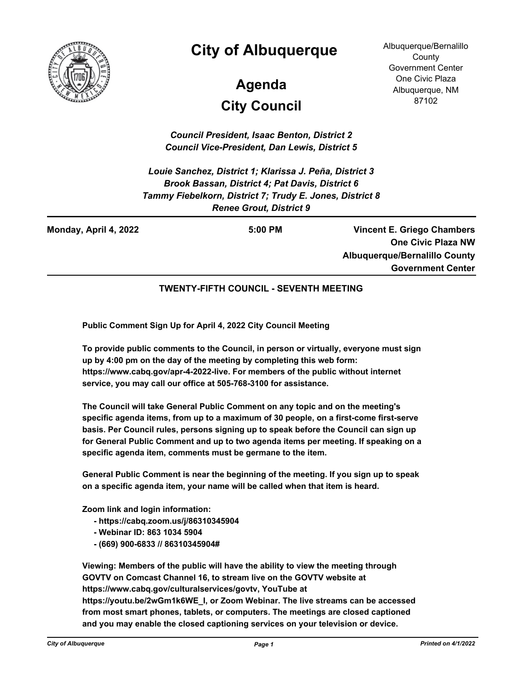

# **City of Albuquerque**

# **City Council Agenda**

Albuquerque/Bernalillo **County** Government Center One Civic Plaza Albuquerque, NM 87102

*Council President, Isaac Benton, District 2 Council Vice-President, Dan Lewis, District 5*

*Louie Sanchez, District 1; Klarissa J. Peña, District 3 Brook Bassan, District 4; Pat Davis, District 6 Tammy Fiebelkorn, District 7; Trudy E. Jones, District 8 Renee Grout, District 9*

**Monday, April 4, 2022 5:00 PM**

**Vincent E. Griego Chambers One Civic Plaza NW Albuquerque/Bernalillo County Government Center**

#### **TWENTY-FIFTH COUNCIL - SEVENTH MEETING**

**Public Comment Sign Up for April 4, 2022 City Council Meeting**

**To provide public comments to the Council, in person or virtually, everyone must sign up by 4:00 pm on the day of the meeting by completing this web form: https://www.cabq.gov/apr-4-2022-live. For members of the public without internet service, you may call our office at 505-768-3100 for assistance.** 

**The Council will take General Public Comment on any topic and on the meeting's specific agenda items, from up to a maximum of 30 people, on a first-come first-serve basis. Per Council rules, persons signing up to speak before the Council can sign up for General Public Comment and up to two agenda items per meeting. If speaking on a specific agenda item, comments must be germane to the item.**

**General Public Comment is near the beginning of the meeting. If you sign up to speak on a specific agenda item, your name will be called when that item is heard.**

**Zoom link and login information:**

 **- https://cabq.zoom.us/j/86310345904** 

- **Webinar ID: 863 1034 5904**
- **(669) 900-6833 // 86310345904#**

**Viewing: Members of the public will have the ability to view the meeting through GOVTV on Comcast Channel 16, to stream live on the GOVTV website at https://www.cabq.gov/culturalservices/govtv, YouTube at https://youtu.be/2wGm1k6WE\_I, or Zoom Webinar. The live streams can be accessed from most smart phones, tablets, or computers. The meetings are closed captioned and you may enable the closed captioning services on your television or device.**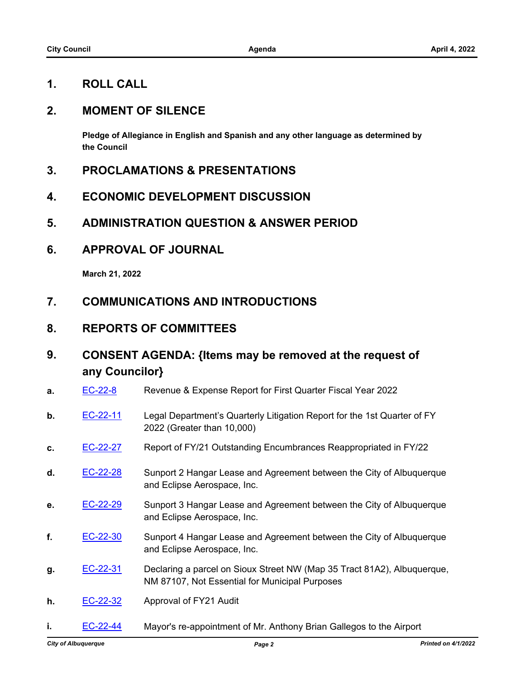## **1. ROLL CALL**

#### **2. MOMENT OF SILENCE**

**Pledge of Allegiance in English and Spanish and any other language as determined by the Council**

- **3. PROCLAMATIONS & PRESENTATIONS**
- **4. ECONOMIC DEVELOPMENT DISCUSSION**
- **5. ADMINISTRATION QUESTION & ANSWER PERIOD**
- **6. APPROVAL OF JOURNAL**

**March 21, 2022**

- **7. COMMUNICATIONS AND INTRODUCTIONS**
- **8. REPORTS OF COMMITTEES**
- **9. CONSENT AGENDA: {Items may be removed at the request of any Councilor}**
- **a.** [EC-22-8](http://cabq.legistar.com/gateway.aspx?m=l&id=/matter.aspx?key=12785) Revenue & Expense Report for First Quarter Fiscal Year 2022 **b.** [EC-22-11](http://cabq.legistar.com/gateway.aspx?m=l&id=/matter.aspx?key=12788) Legal Department's Quarterly Litigation Report for the 1st Quarter of FY

2022 (Greater than 10,000)

- **c.** [EC-22-27](http://cabq.legistar.com/gateway.aspx?m=l&id=/matter.aspx?key=12811) Report of FY/21 Outstanding Encumbrances Reappropriated in FY/22
- **d.** [EC-22-28](http://cabq.legistar.com/gateway.aspx?m=l&id=/matter.aspx?key=12812) Sunport 2 Hangar Lease and Agreement between the City of Albuquerque and Eclipse Aerospace, Inc.
- **e.** [EC-22-29](http://cabq.legistar.com/gateway.aspx?m=l&id=/matter.aspx?key=12813) Sunport 3 Hangar Lease and Agreement between the City of Albuquerque and Eclipse Aerospace, Inc.
- **f.** [EC-22-30](http://cabq.legistar.com/gateway.aspx?m=l&id=/matter.aspx?key=12814) Sunport 4 Hangar Lease and Agreement between the City of Albuquerque and Eclipse Aerospace, Inc.
- **g.** [EC-22-31](http://cabq.legistar.com/gateway.aspx?m=l&id=/matter.aspx?key=12815) Declaring a parcel on Sioux Street NW (Map 35 Tract 81A2), Albuquerque, NM 87107, Not Essential for Municipal Purposes
- **h.** [EC-22-32](http://cabq.legistar.com/gateway.aspx?m=l&id=/matter.aspx?key=12816) Approval of FY21 Audit
- **i. [EC-22-44](http://cabq.legistar.com/gateway.aspx?m=l&id=/matter.aspx?key=12843)** Mayor's re-appointment of Mr. Anthony Brian Gallegos to the Airport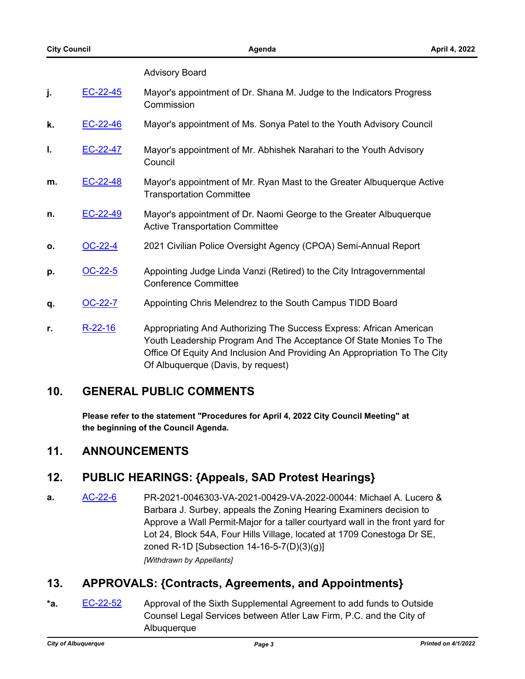#### Advisory Board

| EC-22-45 | Mayor's appointment of Dr. Shana M. Judge to the Indicators Progress |
|----------|----------------------------------------------------------------------|
|          | Commission                                                           |

- **k.** [EC-22-46](http://cabq.legistar.com/gateway.aspx?m=l&id=/matter.aspx?key=12845) Mayor's appointment of Ms. Sonya Patel to the Youth Advisory Council
- **l.** [EC-22-47](http://cabq.legistar.com/gateway.aspx?m=l&id=/matter.aspx?key=12846) Mayor's appointment of Mr. Abhishek Narahari to the Youth Advisory **Council**
- **m.** [EC-22-48](http://cabq.legistar.com/gateway.aspx?m=l&id=/matter.aspx?key=12847) Mayor's appointment of Mr. Ryan Mast to the Greater Albuquerque Active Transportation Committee
- **n.** [EC-22-49](http://cabq.legistar.com/gateway.aspx?m=l&id=/matter.aspx?key=12848) Mayor's appointment of Dr. Naomi George to the Greater Albuquerque Active Transportation Committee
- **o.** [OC-22-4](http://cabq.legistar.com/gateway.aspx?m=l&id=/matter.aspx?key=12836) 2021 Civilian Police Oversight Agency (CPOA) Semi-Annual Report
- **p. [OC-22-5](http://cabq.legistar.com/gateway.aspx?m=l&id=/matter.aspx?key=12851)** Appointing Judge Linda Vanzi (Retired) to the City Intragovernmental Conference Committee
- **q.** [OC-22-7](http://cabq.legistar.com/gateway.aspx?m=l&id=/matter.aspx?key=12857) Appointing Chris Melendrez to the South Campus TIDD Board
- **r.** [R-22-16](http://cabq.legistar.com/gateway.aspx?m=l&id=/matter.aspx?key=12864) Appropriating And Authorizing The Success Express: African American Youth Leadership Program And The Acceptance Of State Monies To The Office Of Equity And Inclusion And Providing An Appropriation To The City Of Albuquerque (Davis, by request)

#### **10. GENERAL PUBLIC COMMENTS**

**Please refer to the statement "Procedures for April 4, 2022 City Council Meeting" at the beginning of the Council Agenda.**

#### **11. ANNOUNCEMENTS**

#### **12. PUBLIC HEARINGS: {Appeals, SAD Protest Hearings}**

**a.** [AC-22-6](http://cabq.legistar.com/gateway.aspx?m=l&id=/matter.aspx?key=12842) PR-2021-0046303-VA-2021-00429-VA-2022-00044: Michael A. Lucero & Barbara J. Surbey, appeals the Zoning Hearing Examiners decision to Approve a Wall Permit-Major for a taller courtyard wall in the front yard for Lot 24, Block 54A, Four Hills Village, located at 1709 Conestoga Dr SE, zoned R-1D [Subsection 14-16-5-7(D)(3)(g)] *[Withdrawn by Appellants]*

## **13. APPROVALS: {Contracts, Agreements, and Appointments}**

**\*a.** [EC-22-52](http://cabq.legistar.com/gateway.aspx?m=l&id=/matter.aspx?key=12867) Approval of the Sixth Supplemental Agreement to add funds to Outside Counsel Legal Services between Atler Law Firm, P.C. and the City of Albuquerque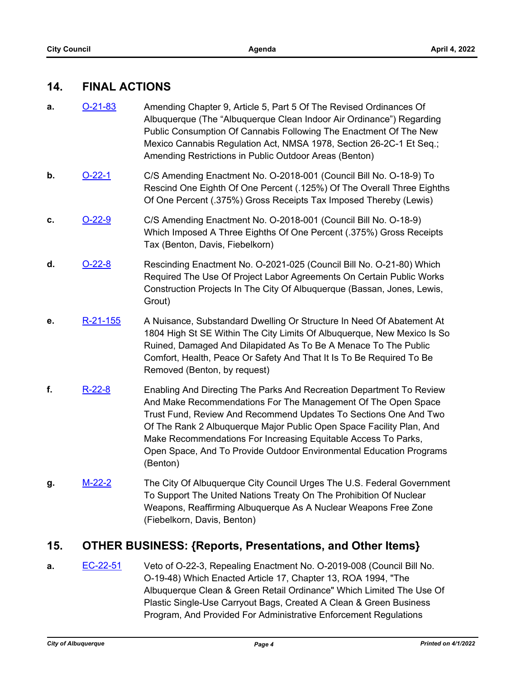#### **14. FINAL ACTIONS**

- **a. [O-21-83](http://cabq.legistar.com/gateway.aspx?m=l&id=/matter.aspx?key=12719)** Amending Chapter 9, Article 5, Part 5 Of The Revised Ordinances Of Albuquerque (The "Albuquerque Clean Indoor Air Ordinance") Regarding Public Consumption Of Cannabis Following The Enactment Of The New Mexico Cannabis Regulation Act, NMSA 1978, Section 26-2C-1 Et Seq.; Amending Restrictions in Public Outdoor Areas (Benton)
- **b.** [O-22-1](http://cabq.legistar.com/gateway.aspx?m=l&id=/matter.aspx?key=12766) C/S Amending Enactment No. O-2018-001 (Council Bill No. O-18-9) To Rescind One Eighth Of One Percent (.125%) Of The Overall Three Eighths Of One Percent (.375%) Gross Receipts Tax Imposed Thereby (Lewis)
- **c.** [O-22-9](http://cabq.legistar.com/gateway.aspx?m=l&id=/matter.aspx?key=12800) C/S Amending Enactment No. O-2018-001 (Council Bill No. O-18-9) Which Imposed A Three Eighths Of One Percent (.375%) Gross Receipts Tax (Benton, Davis, Fiebelkorn)
- **d.** [O-22-8](http://cabq.legistar.com/gateway.aspx?m=l&id=/matter.aspx?key=12798) Rescinding Enactment No. O-2021-025 (Council Bill No. O-21-80) Which Required The Use Of Project Labor Agreements On Certain Public Works Construction Projects In The City Of Albuquerque (Bassan, Jones, Lewis, Grout)
- **e.** [R-21-155](http://cabq.legistar.com/gateway.aspx?m=l&id=/matter.aspx?key=12448) A Nuisance, Substandard Dwelling Or Structure In Need Of Abatement At 1804 High St SE Within The City Limits Of Albuquerque, New Mexico Is So Ruined, Damaged And Dilapidated As To Be A Menace To The Public Comfort, Health, Peace Or Safety And That It Is To Be Required To Be Removed (Benton, by request)
- **f.** [R-22-8](http://cabq.legistar.com/gateway.aspx?m=l&id=/matter.aspx?key=12839) Enabling And Directing The Parks And Recreation Department To Review And Make Recommendations For The Management Of The Open Space Trust Fund, Review And Recommend Updates To Sections One And Two Of The Rank 2 Albuquerque Major Public Open Space Facility Plan, And Make Recommendations For Increasing Equitable Access To Parks, Open Space, And To Provide Outdoor Environmental Education Programs (Benton)
- **g.** [M-22-2](http://cabq.legistar.com/gateway.aspx?m=l&id=/matter.aspx?key=12860) The City Of Albuquerque City Council Urges The U.S. Federal Government To Support The United Nations Treaty On The Prohibition Of Nuclear Weapons, Reaffirming Albuquerque As A Nuclear Weapons Free Zone (Fiebelkorn, Davis, Benton)

## **15. OTHER BUSINESS: {Reports, Presentations, and Other Items}**

**a.** [EC-22-51](http://cabq.legistar.com/gateway.aspx?m=l&id=/matter.aspx?key=12866) Veto of O-22-3, Repealing Enactment No. O-2019-008 (Council Bill No. O-19-48) Which Enacted Article 17, Chapter 13, ROA 1994, "The Albuquerque Clean & Green Retail Ordinance" Which Limited The Use Of Plastic Single-Use Carryout Bags, Created A Clean & Green Business Program, And Provided For Administrative Enforcement Regulations